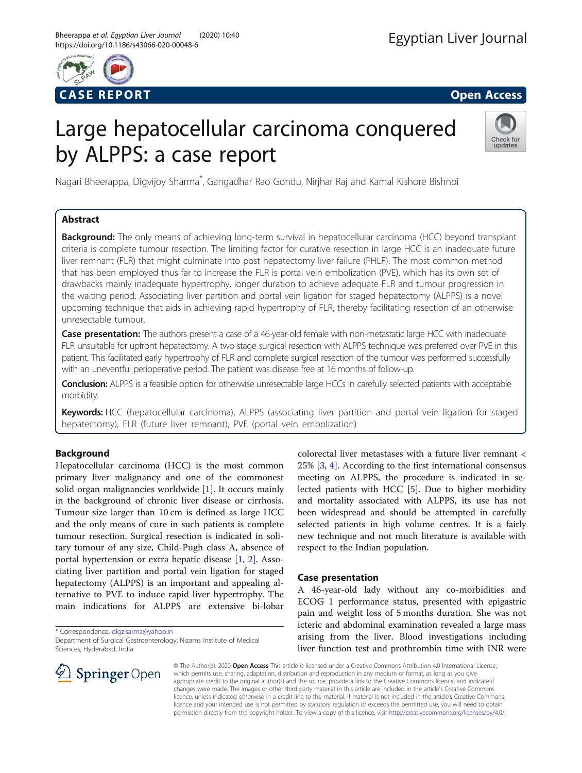

# Large hepatocellular carcinoma conquered by ALPPS: a case report



Nagari Bheerappa, Digvijoy Sharma<sup>\*</sup>, Gangadhar Rao Gondu, Nirjhar Raj and Kamal Kishore Bishnoi

# Abstract

**Background:** The only means of achieving long-term survival in hepatocellular carcinoma (HCC) beyond transplant criteria is complete tumour resection. The limiting factor for curative resection in large HCC is an inadequate future liver remnant (FLR) that might culminate into post hepatectomy liver failure (PHLF). The most common method that has been employed thus far to increase the FLR is portal vein embolization (PVE), which has its own set of drawbacks mainly inadequate hypertrophy, longer duration to achieve adequate FLR and tumour progression in the waiting period. Associating liver partition and portal vein ligation for staged hepatectomy (ALPPS) is a novel upcoming technique that aids in achieving rapid hypertrophy of FLR, thereby facilitating resection of an otherwise unresectable tumour.

Case presentation: The authors present a case of a 46-year-old female with non-metastatic large HCC with inadequate FLR unsuitable for upfront hepatectomy. A two-stage surgical resection with ALPPS technique was preferred over PVE in this patient. This facilitated early hypertrophy of FLR and complete surgical resection of the tumour was performed successfully with an uneventful perioperative period. The patient was disease free at 16 months of follow-up.

Conclusion: ALPPS is a feasible option for otherwise unresectable large HCCs in carefully selected patients with acceptable morbidity.

Keywords: HCC (hepatocellular carcinoma), ALPPS (associating liver partition and portal vein ligation for staged hepatectomy), FLR (future liver remnant), PVE (portal vein embolization)

# Background

Hepatocellular carcinoma (HCC) is the most common primary liver malignancy and one of the commonest solid organ malignancies worldwide [\[1](#page-3-0)]. It occurs mainly in the background of chronic liver disease or cirrhosis. Tumour size larger than 10 cm is defined as large HCC and the only means of cure in such patients is complete tumour resection. Surgical resection is indicated in solitary tumour of any size, Child-Pugh class A, absence of portal hypertension or extra hepatic disease [[1](#page-3-0), [2\]](#page-3-0). Associating liver partition and portal vein ligation for staged hepatectomy (ALPPS) is an important and appealing alternative to PVE to induce rapid liver hypertrophy. The main indications for ALPPS are extensive bi-lobar

\* Correspondence: [digz.sarma@yahoo.in](mailto:digz.sarma@yahoo.in)



colorectal liver metastases with a future liver remnant <

# Case presentation

A 46-year-old lady without any co-morbidities and ECOG 1 performance status, presented with epigastric pain and weight loss of 5 months duration. She was not icteric and abdominal examination revealed a large mass arising from the liver. Blood investigations including liver function test and prothrombin time with INR were



© The Author(s). 2020 Open Access This article is licensed under a Creative Commons Attribution 4.0 International License, which permits use, sharing, adaptation, distribution and reproduction in any medium or format, as long as you give appropriate credit to the original author(s) and the source, provide a link to the Creative Commons licence, and indicate if changes were made. The images or other third party material in this article are included in the article's Creative Commons licence, unless indicated otherwise in a credit line to the material. If material is not included in the article's Creative Commons licence and your intended use is not permitted by statutory regulation or exceeds the permitted use, you will need to obtain permission directly from the copyright holder. To view a copy of this licence, visit <http://creativecommons.org/licenses/by/4.0/>.

Department of Surgical Gastroenterology, Nizams Institute of Medical Sciences, Hyderabad, India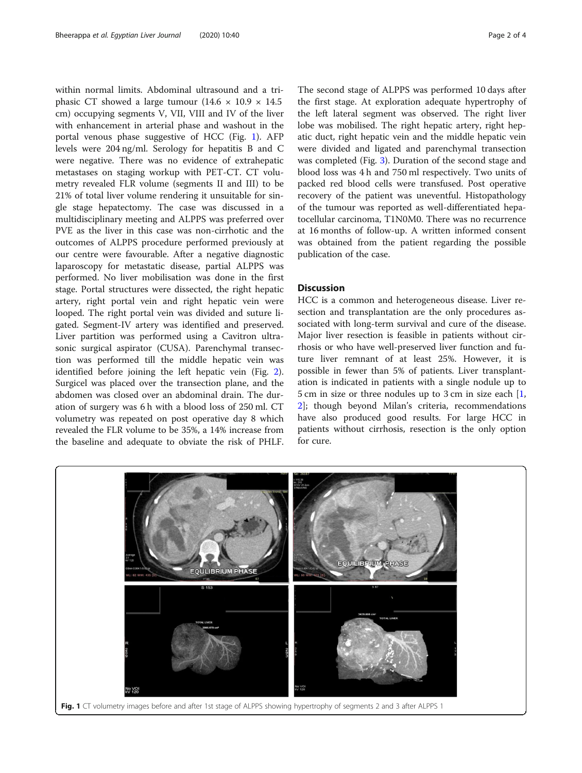within normal limits. Abdominal ultrasound and a triphasic CT showed a large tumour  $(14.6 \times 10.9 \times 14.5$ cm) occupying segments V, VII, VIII and IV of the liver with enhancement in arterial phase and washout in the portal venous phase suggestive of HCC (Fig. 1). AFP levels were 204 ng/ml. Serology for hepatitis B and C were negative. There was no evidence of extrahepatic metastases on staging workup with PET-CT. CT volumetry revealed FLR volume (segments II and III) to be 21% of total liver volume rendering it unsuitable for single stage hepatectomy. The case was discussed in a multidisciplinary meeting and ALPPS was preferred over PVE as the liver in this case was non-cirrhotic and the outcomes of ALPPS procedure performed previously at our centre were favourable. After a negative diagnostic laparoscopy for metastatic disease, partial ALPPS was performed. No liver mobilisation was done in the first stage. Portal structures were dissected, the right hepatic artery, right portal vein and right hepatic vein were looped. The right portal vein was divided and suture ligated. Segment-IV artery was identified and preserved. Liver partition was performed using a Cavitron ultrasonic surgical aspirator (CUSA). Parenchymal transection was performed till the middle hepatic vein was identified before joining the left hepatic vein (Fig. [2](#page-2-0)). Surgicel was placed over the transection plane, and the abdomen was closed over an abdominal drain. The duration of surgery was 6 h with a blood loss of 250 ml. CT volumetry was repeated on post operative day 8 which revealed the FLR volume to be 35%, a 14% increase from the baseline and adequate to obviate the risk of PHLF.

The second stage of ALPPS was performed 10 days after the first stage. At exploration adequate hypertrophy of the left lateral segment was observed. The right liver lobe was mobilised. The right hepatic artery, right hepatic duct, right hepatic vein and the middle hepatic vein were divided and ligated and parenchymal transection was completed (Fig. [3\)](#page-2-0). Duration of the second stage and blood loss was 4 h and 750 ml respectively. Two units of packed red blood cells were transfused. Post operative recovery of the patient was uneventful. Histopathology of the tumour was reported as well-differentiated hepatocellular carcinoma, T1N0M0. There was no recurrence at 16 months of follow-up. A written informed consent was obtained from the patient regarding the possible publication of the case.

## **Discussion**

HCC is a common and heterogeneous disease. Liver resection and transplantation are the only procedures associated with long-term survival and cure of the disease. Major liver resection is feasible in patients without cirrhosis or who have well-preserved liver function and future liver remnant of at least 25%. However, it is possible in fewer than 5% of patients. Liver transplantation is indicated in patients with a single nodule up to 5 cm in size or three nodules up to 3 cm in size each [[1](#page-3-0), [2\]](#page-3-0); though beyond Milan's criteria, recommendations have also produced good results. For large HCC in patients without cirrhosis, resection is the only option for cure.

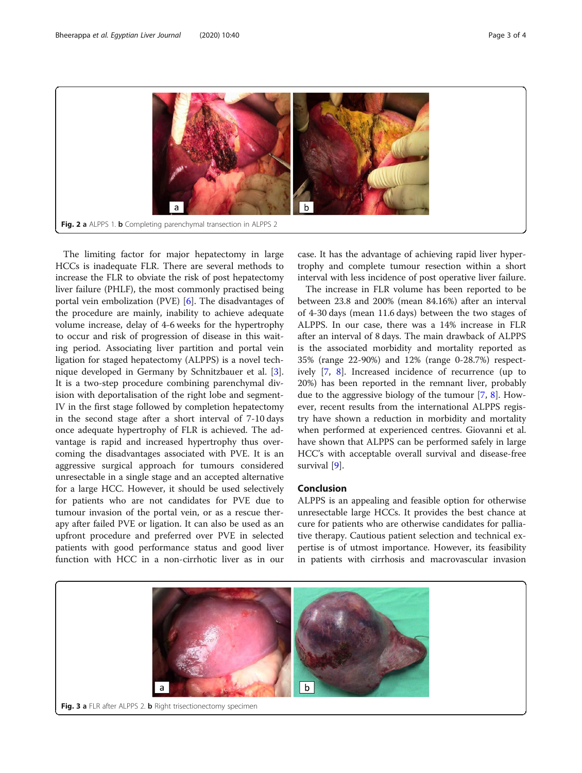<span id="page-2-0"></span>

The limiting factor for major hepatectomy in large HCCs is inadequate FLR. There are several methods to increase the FLR to obviate the risk of post hepatectomy liver failure (PHLF), the most commonly practised being portal vein embolization (PVE) [[6\]](#page-3-0). The disadvantages of the procedure are mainly, inability to achieve adequate volume increase, delay of 4-6 weeks for the hypertrophy to occur and risk of progression of disease in this waiting period. Associating liver partition and portal vein ligation for staged hepatectomy (ALPPS) is a novel technique developed in Germany by Schnitzbauer et al. [\[3](#page-3-0)]. It is a two-step procedure combining parenchymal division with deportalisation of the right lobe and segment-IV in the first stage followed by completion hepatectomy in the second stage after a short interval of 7-10 days once adequate hypertrophy of FLR is achieved. The advantage is rapid and increased hypertrophy thus overcoming the disadvantages associated with PVE. It is an aggressive surgical approach for tumours considered unresectable in a single stage and an accepted alternative for a large HCC. However, it should be used selectively for patients who are not candidates for PVE due to tumour invasion of the portal vein, or as a rescue therapy after failed PVE or ligation. It can also be used as an upfront procedure and preferred over PVE in selected patients with good performance status and good liver function with HCC in a non-cirrhotic liver as in our

case. It has the advantage of achieving rapid liver hypertrophy and complete tumour resection within a short interval with less incidence of post operative liver failure.

The increase in FLR volume has been reported to be between 23.8 and 200% (mean 84.16%) after an interval of 4-30 days (mean 11.6 days) between the two stages of ALPPS. In our case, there was a 14% increase in FLR after an interval of 8 days. The main drawback of ALPPS is the associated morbidity and mortality reported as 35% (range 22-90%) and 12% (range 0-28.7%) respectively [[7,](#page-3-0) [8](#page-3-0)]. Increased incidence of recurrence (up to 20%) has been reported in the remnant liver, probably due to the aggressive biology of the tumour [[7,](#page-3-0) [8\]](#page-3-0). However, recent results from the international ALPPS registry have shown a reduction in morbidity and mortality when performed at experienced centres. Giovanni et al. have shown that ALPPS can be performed safely in large HCC's with acceptable overall survival and disease-free survival [\[9](#page-3-0)].

# Conclusion

ALPPS is an appealing and feasible option for otherwise unresectable large HCCs. It provides the best chance at cure for patients who are otherwise candidates for palliative therapy. Cautious patient selection and technical expertise is of utmost importance. However, its feasibility in patients with cirrhosis and macrovascular invasion